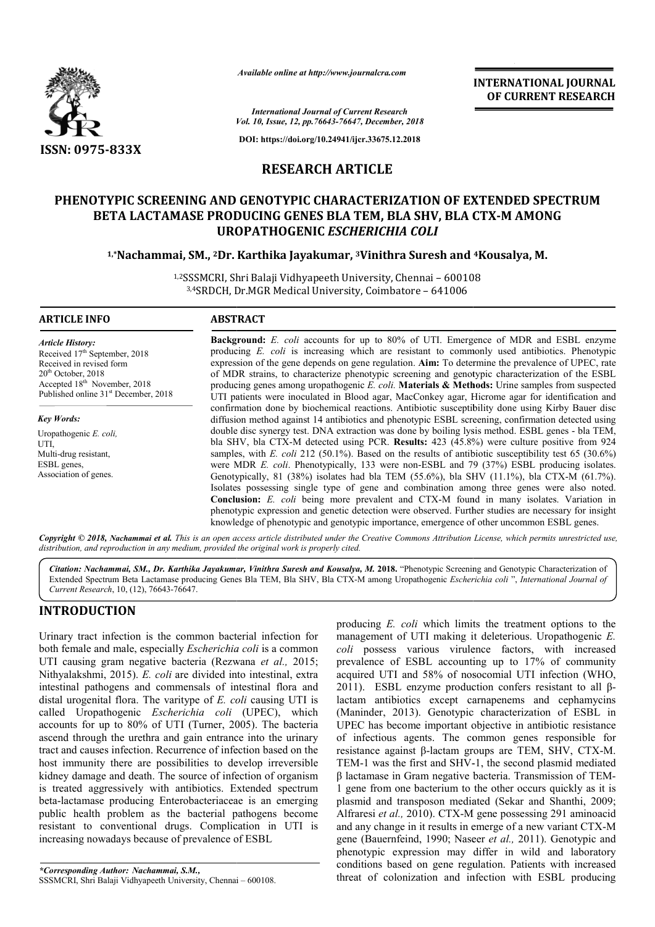

*Available online at http://www.journalcra.com*

**INTERNATIONAL JOURNAL OF CURRENT RESEARCH**

*Vol. 10, Issue, 12, pp. pp.76643-76647, December, 2018 International Journal of Current Research*

**DOI: https://doi.org/10.24941/ijcr.33675.12.2018**

# **RESEARCH ARTICLE**

# **PHENOTYPIC SCREENING AND GENOTYPIC CHARACTERIZATION OF EXTENDED SPECTRUM PHENOTYPIC EXTENDED SPECTRUM BLA BLA SHV, CTX-M AMONG BETA LACTAMASE PRODUCING GENES BLA TEM, BLA SHV, BLA CTX UROPATHOGENIC**  *ESCHERICHIA COLI*

**1,\*Nachammai, SM., 2Dr. Karthika Jayakumar, Dr. 3Vinithra Suresh and Vinithra 4Kousalya, M.**

1,2SSSMCRI, Shri Balaji Vidhyapeeth University, Chennai - 600108 3,4SRDCH, Dr.MGR Medical University, Coimbatore - 641006

### **ARTICLE INFO ABSTRACT**

*Article History:* Received 17<sup>th</sup> September, 2018 Received in revised form 20<sup>th</sup> October, 2018 Accepted 18<sup>th</sup> November, 2018 Published online  $31<sup>st</sup>$  December, 2018

*Key Words:* Uropathogenic *E. coli,*  UTI, Multi-drug resistant, ESBL genes, Association of genes.

**Background:** *E. coli* accounts for up to 80% of UTI. Emergence of MDR and ESBL enzyme producing *E. coli* is increasing which are resistant to commonly used antibiotics. Phenotypic expression of the gene depends on gene regulation. **Aim:** To determine the prevalence of UPEC, rate of MDR strains, to characterize phenotypic screening and genotypic characterization of the ESBL producing genes among uropathogenic E. coli. Materials & Methods: Urine samples from suspected UTI patients were inoculated in Blood agar, MacConkey agar, Hicrome agar for identification and confirmation done by biochemical reactions. Antibiotic susceptibility done using Kirby Bauer disc diffusion method against 14 antibiotics and phenotypic ESBL screening, confirmation detected using double disc synergy test. DNA extraction was done by boiling lysis method. ESBL genes - bla TEM, bla SHV, bla CTX-M detected using PCR. **Results:** 423 (45.8%) were culture positive from 924 samples, with *E. coli* 212 (50.1%). Based on the results of antibiotic susceptibility test 65 (30.6%) were MDR *E. coli.* Phenotypically, 133 were non-ESBL and 79 (37%) ESBL producing isolates. Genotypically, 81 (38%) isolates had bla TEM (55.6%), bla SHV (11.1%), bla CTX-M (61.7%). Isolates possessing single t type of gene and combination among three genes were also noted. Isolates possessing single type of gene and combination among three genes were also noted.<br>**Conclusion:** *E. coli* being more prevalent and CTX-M found in many isolates. Variation in phenotypic expression and genetic detection were observed. Further studies are necessary for insight phenotypic expression and genetic detection were observed. Further studies are necessary for ins<br>knowledge of phenotypic and genotypic importance, emergence of other uncommon ESBL genes. **Background:** *E. coli* accounts for up to 80% of UTI. Emergence of MDR and ESBL enzyme producing *E. coli* is increasing which are resistant to commonly used antibiotics. Phenotypic expression of the gene depends on gene UTI patients were inoculated in Blood agar, MacConkey agar, Hicrome agar for identification and<br>confirmation done by biochemical reactions. Antibiotic susceptibility done using Kirby Bauer disc<br>diffusion method against 14 bla SHV, bla CTX-M detected using PCR. **Results:**  $423$  (45.8%) were culture positive from 924 samples, with *E. coli* 212 (50.1%). Based on the results of antibiotic susceptibility test 65 (30.6%) were MDR *E. coli*. Phe

Copyright © 2018, Nachammai et al. This is an open access article distributed under the Creative Commons Attribution License, which permits unrestricted use, *distribution, and reproduction in any medium, provided the original work is properly cited.*

Citation: Nachammai, SM., Dr. Karthika Jayakumar, Vinithra Suresh and Kousalya, M. 2018. "Phenotypic Screening and Genotypic Characterization of Extended Spectrum Beta Lactamase producing Genes Bla TEM, Bla SHV, Bla CTX-M among Uropathogenic Escherichia coli", International Journal of *Current Research*, 10, (12), 76643-76647.

## **INTRODUCTION**

Urinary tract infection is the common bacterial infection for both female and male, especially *Escherichia coli*  is a common UTI causing gram negative bacteria (Rezwana et al., 2015; Nithyalakshmi, 2015). *E. coli* are divided into intestinal, extra intestinal pathogens and commensals of intestinal flora and distal urogenital flora. The varitype of *E. coli* causing UTI is called Uropathogenic *Escherichia coli*  (UPEC), which accounts for up to 80% of UTI (Turner, 2005). The bacteria ascend through the urethra and gain entrance into the urinary tract and causes infection. Recurrence of infection based on the host immunity there are possibilities to develop irreversible kidney damage and death. The source of infection of organism is treated aggressively with antibiotics. Extended spectrum beta-lactamase producing Enterobacteriaceae is an emerging public health problem as the bacterial pathogens become resistant to conventional drugs. Complication in UTI is increasing nowadays because of prevalence of ESBL lactamase producing Enterobacteriaceae is an<br>
c health problem as the bacterial pathogens<br>
tant to conventional drugs. Complication in<br>
asing nowadays because of prevalence of ESBL<br> *esponding Author: Nachammai, S.M.*,<br>
CR

*\*Corresponding Author: Nachammai, S.M.,*  SSSMCRI, Shri Balaji Vidhyapeeth University, Chennai producing *E. coli* which limits the treatment options to the producing *E. coli* which limits the treatment options to the management of UTI making it deleterious. Uropathogenic *E. coli* possess various virulence factors, with increased prevalence of ESBL accounting up to 17% of community acquired UTI and 58% of nosocomial UTI infection (WHO, prevalence of ESBL accounting up to 17% of community acquired UTI and 58% of nosocomial UTI infection (WHO, 2011). ESBL enzyme production confers resistant to all β βlactam antibiotics except carnapenems and cephamycins (Maninder, 2013). Genotypic characterization of ESBL in UPEC has become important objective in antibiotic resistance of infectious agents. The common genes responsible for resistance against β-lactam groups are TEM, SHV, CTX TEM-1 was the first and SHV-1, the second plasmid mediated  $\beta$  lactamase in Gram negative bacteria. Transmission of TEM-1 gene from one bacterium to the other occurs quickly as it is plasmid and transposon mediated (Sekar and Shanthi, 2009; Alfraresi *et al.,* 2010). CTX-M gene possessing 291 aminoacid Alfraresi et al., 2010). CTX-M gene possessing 291 aminoacid and any change in it results in emerge of a new variant CTX-M gene (Bauernfeind, 1990; Naseer *et al.,* 2011). Genotypic and phenotypic expression may differ in wild and laboratory conditions based on gene regulation. Patients with increased threat of colonization and infection with ESBL producing tibiotics except carnapenems and cephamycins 2013). Genotypic characterization of ESBL in become important objective in antibiotic resistance us agents. The common genes responsible for against  $\beta$ -lactam groups are TEM, INTERNATIONAL JOURNAL<br>
INTERNATIONAL JOURNAL<br>
OF CURRENT RESEARCH<br>
Creambe, 2018<br>
OF CURRENT RESEARCH<br>
OF CURRENT RESEARCH<br>
CLE<br>
CLE<br>
TERIZATION OF EXTENDED SPECTRUM<br>
MA, BLA GITX - MAMONG<br>
RICHIA GOLI<br>
inithra Suresh and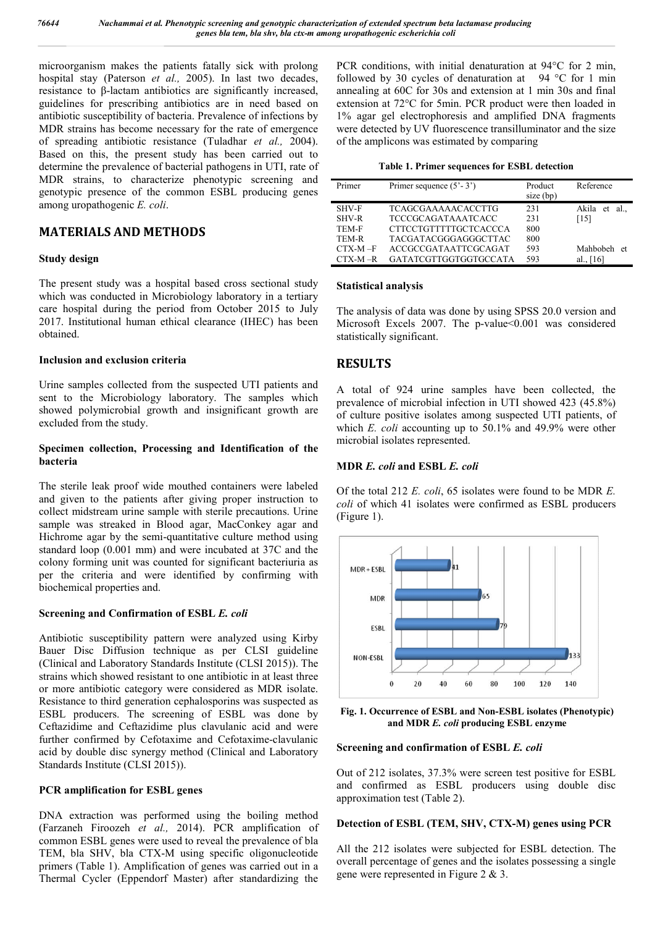microorganism makes the patients fatally sick with prolong hospital stay (Paterson *et al.,* 2005). In last two decades, resistance to β-lactam antibiotics are significantly increased, guidelines for prescribing antibiotics are in need based on antibiotic susceptibility of bacteria. Prevalence of infections by MDR strains has become necessary for the rate of emergence of spreading antibiotic resistance (Tuladhar *et al.,* 2004). Based on this, the present study has been carried out to determine the prevalence of bacterial pathogens in UTI, rate of MDR strains, to characterize phenotypic screening and genotypic presence of the common ESBL producing genes among uropathogenic *E. coli*.

# **MATERIALS AND METHODS**

## **Study design**

The present study was a hospital based cross sectional study which was conducted in Microbiology laboratory in a tertiary care hospital during the period from October 2015 to July 2017. Institutional human ethical clearance (IHEC) has been obtained.

## **Inclusion and exclusion criteria**

Urine samples collected from the suspected UTI patients and sent to the Microbiology laboratory. The samples which showed polymicrobial growth and insignificant growth are excluded from the study.

## **Specimen collection, Processing and Identification of the bacteria**

The sterile leak proof wide mouthed containers were labeled and given to the patients after giving proper instruction to collect midstream urine sample with sterile precautions. Urine sample was streaked in Blood agar, MacConkey agar and Hichrome agar by the semi-quantitative culture method using standard loop (0.001 mm) and were incubated at 37C and the colony forming unit was counted for significant bacteriuria as per the criteria and were identified by confirming with biochemical properties and.

### **Screening and Confirmation of ESBL** *E. coli*

Antibiotic susceptibility pattern were analyzed using Kirby Bauer Disc Diffusion technique as per CLSI guideline (Clinical and Laboratory Standards Institute (CLSI 2015)). The strains which showed resistant to one antibiotic in at least three or more antibiotic category were considered as MDR isolate. Resistance to third generation cephalosporins was suspected as ESBL producers. The screening of ESBL was done by Ceftazidime and Ceftazidime plus clavulanic acid and were further confirmed by Cefotaxime and Cefotaxime-clavulanic acid by double disc synergy method (Clinical and Laboratory Standards Institute (CLSI 2015)).

### **PCR amplification for ESBL genes**

DNA extraction was performed using the boiling method (Farzaneh Firoozeh *et al.,* 2014). PCR amplification of common ESBL genes were used to reveal the prevalence of bla TEM, bla SHV, bla CTX-M using specific oligonucleotide primers (Table 1). Amplification of genes was carried out in a Thermal Cycler (Eppendorf Master) after standardizing the

PCR conditions, with initial denaturation at 94°C for 2 min, followed by 30 cycles of denaturation at 94 °C for 1 min annealing at 60C for 30s and extension at 1 min 30s and final extension at 72°C for 5min. PCR product were then loaded in 1% agar gel electrophoresis and amplified DNA fragments were detected by UV fluorescence transilluminator and the size of the amplicons was estimated by comparing

|  |  | Table 1. Primer sequences for ESBL detection |  |  |  |
|--|--|----------------------------------------------|--|--|--|
|--|--|----------------------------------------------|--|--|--|

| Primer       | Primer sequence $(5' - 3')$  | Product<br>size (bp) | Reference          |
|--------------|------------------------------|----------------------|--------------------|
| SHV-F        | <b>TCAGCGAAAAACACCTTG</b>    | 231                  | Akila<br>al.<br>et |
| <b>SHV-R</b> | <b>TCCCGCAGATAAATCACC</b>    | 231                  | [15]               |
| TEM-F        | <b>CTTCCTGTTTTTGCTCACCCA</b> | 800                  |                    |
| TEM-R        | TACGATACGGGAGGGCTTAC         | 800                  |                    |
| $CTX-M-F$    | ACCGCCGATAATTCGCAGAT         | 593                  | Mahbobeh et        |
| $CTX-M-R$    | GATATCGTTGGTGGTGCCATA        | 593                  | al                 |

#### **Statistical analysis**

The analysis of data was done by using SPSS 20.0 version and Microsoft Excels 2007. The p-value<0.001 was considered statistically significant.

# **RESULTS**

A total of 924 urine samples have been collected, the prevalence of microbial infection in UTI showed 423 (45.8%) of culture positive isolates among suspected UTI patients, of which *E. coli* accounting up to 50.1% and 49.9% were other microbial isolates represented.

### **MDR** *E. coli* **and ESBL** *E. coli*

Of the total 212 *E. coli*, 65 isolates were found to be MDR *E. coli* of which 41 isolates were confirmed as ESBL producers (Figure 1).



**Fig. 1. Occurrence of ESBL and Non-ESBL isolates (Phenotypic) and MDR** *E. coli* **producing ESBL enzyme**

### **Screening and confirmation of ESBL** *E. coli*

Out of 212 isolates, 37.3% were screen test positive for ESBL and confirmed as ESBL producers using double disc approximation test (Table 2).

## **Detection of ESBL (TEM, SHV, CTX-M) genes using PCR**

All the 212 isolates were subjected for ESBL detection. The overall percentage of genes and the isolates possessing a single gene were represented in Figure 2 & 3.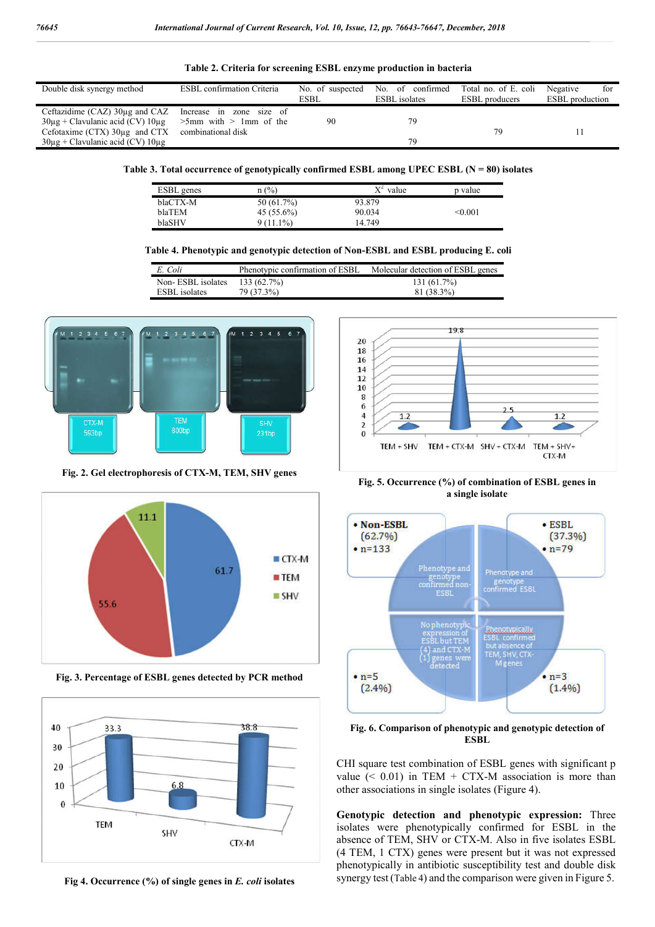| Double disk synergy method                 | <b>ESBL</b> confirmation Criteria | No. of suspected | No. of confirmed     | Total no. of E. coli  | Negative<br>for        |
|--------------------------------------------|-----------------------------------|------------------|----------------------|-----------------------|------------------------|
|                                            |                                   | ESBL             | <b>ESBL</b> isolates | <b>ESBL</b> producers | <b>ESBL</b> production |
| Ceftazidime (CAZ) 30µg and CAZ             | Increase in zone size of          |                  |                      |                       |                        |
| $30\mu$ g + Clavulanic acid (CV) $10\mu$ g | $>5$ mm with $>1$ mm of the       | 90               | 79                   |                       |                        |
| Cefotaxime $(CTX)$ 30 $\mu$ g and CTX      | combinational disk                |                  |                      | 79                    |                        |
| $30\mu$ g + Clavulanic acid (CV) $10\mu$ g |                                   |                  | 79                   |                       |                        |

**Table 2. Criteria for screening ESBL enzyme production in bacteria**

Table 3. Total occurrence of genotypically confirmed ESBL among UPEC ESBL (N = 80) isolates

| <b>ESBL</b> genes | $n$ (%)      | $X^2$ value | p value |
|-------------------|--------------|-------------|---------|
| blaCTX-M          | 50 (61.7%)   | 93.879      |         |
| blaTEM            | $45(55.6\%)$ | 90.034      | < 0.001 |
| blaSHV            | $9(11.1\%)$  | 14.749      |         |

#### **Table 4. Phenotypic and genotypic detection of Non-ESBL and ESBL producing E. coli**

| E. Coli              | Phenotypic confirmation of ESBL | Molecular detection of ESBL genes |
|----------------------|---------------------------------|-----------------------------------|
| Non-ESBL isolates    | 133(62.7%)                      | 131(61.7%)                        |
| <b>ESBL</b> isolates | 79 (37.3%)                      | 81 (38.3%)                        |



**Fig. 2. Gel electrophoresis of CTX-M, TEM, SHV genes**



**Fig. 3. Percentage of ESBL genes detected by PCR method**



**Fig 4. Occurrence (%) of single genes in** *E. coli* **isolates**



**Fig. 5. Occurrence (%) of combination of ESBL genes in a single isolate**



**Fig. 6. Comparison of phenotypic and genotypic detection of ESBL**

CHI square test combination of ESBL genes with significant p value  $( $0.01$ )$  in TEM + CTX-M association is more than other associations in single isolates (Figure 4).

**Genotypic detection and phenotypic expression:** Three isolates were phenotypically confirmed for ESBL in the absence of TEM, SHV or CTX-M. Also in five isolates ESBL (4 TEM, 1 CTX) genes were present but it was not expressed phenotypically in antibiotic susceptibility test and double disk synergy test (Table 4) and the comparison were given in Figure 5.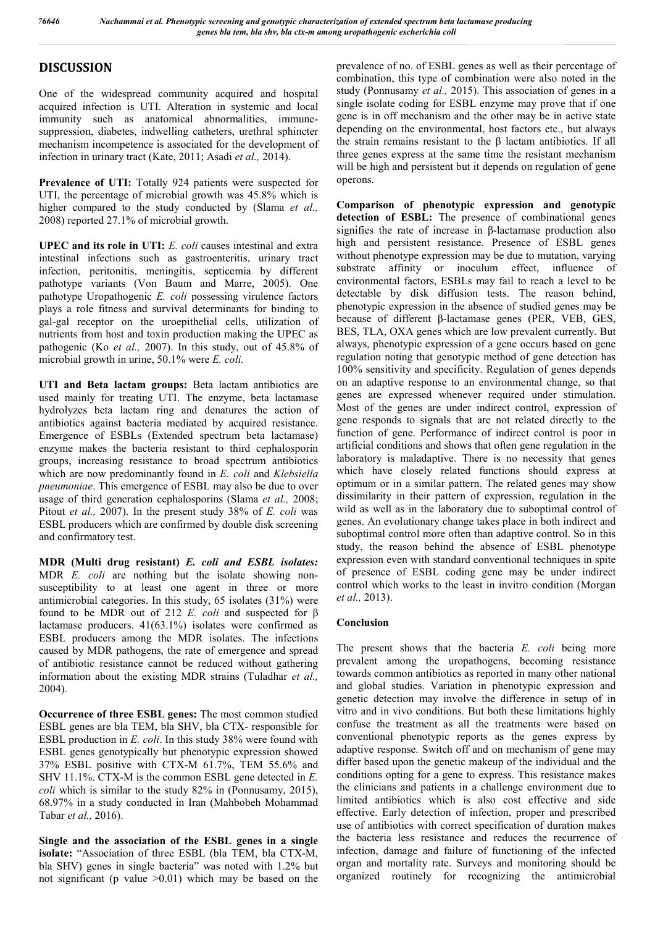# **DISCUSSION**

One of the widespread community acquired and hospital acquired infection is UTI. Alteration in systemic and local immunity such as anatomical abnormalities, immunesuppression, diabetes, indwelling catheters, urethral sphincter mechanism incompetence is associated for the development of infection in urinary tract (Kate, 2011; Asadi *et al.,* 2014).

**Prevalence of UTI:** Totally 924 patients were suspected for UTI, the percentage of microbial growth was 45.8% which is higher compared to the study conducted by (Slama *et al.,*  2008) reported 27.1% of microbial growth.

**UPEC and its role in UTI:** *E. coli* causes intestinal and extra intestinal infections such as gastroenteritis, urinary tract infection, peritonitis, meningitis, septicemia by different pathotype variants (Von Baum and Marre, 2005). One pathotype Uropathogenic *E. coli* possessing virulence factors plays a role fitness and survival determinants for binding to gal-gal receptor on the uroepithelial cells, utilization of nutrients from host and toxin production making the UPEC as pathogenic (Ko *et al.,* 2007). In this study, out of 45.8% of microbial growth in urine, 50.1% were *E. coli.*

**UTI and Beta lactam groups:** Beta lactam antibiotics are used mainly for treating UTI. The enzyme, beta lactamase hydrolyzes beta lactam ring and denatures the action of antibiotics against bacteria mediated by acquired resistance. Emergence of ESBLs (Extended spectrum beta lactamase) enzyme makes the bacteria resistant to third cephalosporin groups, increasing resistance to broad spectrum antibiotics which are now predominantly found in *E. coli* and *Klebsiella pneumoniae*. This emergence of ESBL may also be due to over usage of third generation cephalosporins (Slama *et al.,* 2008; Pitout *et al.,* 2007). In the present study 38% of *E. coli* was ESBL producers which are confirmed by double disk screening and confirmatory test.

**MDR (Multi drug resistant)** *E. coli and ESBL isolates:* MDR *E. coli* are nothing but the isolate showing nonsusceptibility to at least one agent in three or more antimicrobial categories. In this study, 65 isolates (31%) were found to be MDR out of 212 *E. coli* and suspected for β lactamase producers. 41(63.1%) isolates were confirmed as ESBL producers among the MDR isolates. The infections caused by MDR pathogens, the rate of emergence and spread of antibiotic resistance cannot be reduced without gathering information about the existing MDR strains (Tuladhar *et al.,*  2004).

**Occurrence of three ESBL genes:** The most common studied ESBL genes are bla TEM, bla SHV, bla CTX- responsible for ESBL production in *E. coli*. In this study 38% were found with ESBL genes genotypically but phenotypic expression showed 37% ESBL positive with CTX-M 61.7%, TEM 55.6% and SHV 11.1%. CTX-M is the common ESBL gene detected in *E. coli* which is similar to the study 82% in (Ponnusamy, 2015), 68.97% in a study conducted in Iran (Mahbobeh Mohammad Tabar *et al.,* 2016).

**Single and the association of the ESBL genes in a single isolate:** "Association of three ESBL (bla TEM, bla CTX-M, bla SHV) genes in single bacteria" was noted with 1.2% but not significant (p value  $>0.01$ ) which may be based on the

prevalence of no. of ESBL genes as well as their percentage of combination, this type of combination were also noted in the study (Ponnusamy *et al.,* 2015). This association of genes in a single isolate coding for ESBL enzyme may prove that if one gene is in off mechanism and the other may be in active state depending on the environmental, host factors etc., but always the strain remains resistant to the β lactam antibiotics. If all three genes express at the same time the resistant mechanism will be high and persistent but it depends on regulation of gene operons.

**Comparison of phenotypic expression and genotypic**  detection of **ESBL:** The presence of combinational genes signifies the rate of increase in β-lactamase production also high and persistent resistance. Presence of ESBL genes without phenotype expression may be due to mutation, varying substrate affinity or inoculum effect, influence of environmental factors, ESBLs may fail to reach a level to be detectable by disk diffusion tests. The reason behind, phenotypic expression in the absence of studied genes may be because of different β-lactamase genes (PER, VEB, GES, BES, TLA, OXA genes which are low prevalent currently. But always, phenotypic expression of a gene occurs based on gene regulation noting that genotypic method of gene detection has 100% sensitivity and specificity. Regulation of genes depends on an adaptive response to an environmental change, so that genes are expressed whenever required under stimulation. Most of the genes are under indirect control, expression of gene responds to signals that are not related directly to the function of gene. Performance of indirect control is poor in artificial conditions and shows that often gene regulation in the laboratory is maladaptive. There is no necessity that genes which have closely related functions should express at optimum or in a similar pattern. The related genes may show dissimilarity in their pattern of expression, regulation in the wild as well as in the laboratory due to suboptimal control of genes. An evolutionary change takes place in both indirect and suboptimal control more often than adaptive control. So in this study, the reason behind the absence of ESBL phenotype expression even with standard conventional techniques in spite of presence of ESBL coding gene may be under indirect control which works to the least in invitro condition (Morgan *et al.,* 2013).

## **Conclusion**

The present shows that the bacteria *E. coli* being more prevalent among the uropathogens, becoming resistance towards common antibiotics as reported in many other national and global studies. Variation in phenotypic expression and genetic detection may involve the difference in setup of in vitro and in vivo conditions. But both these limitations highly confuse the treatment as all the treatments were based on conventional phenotypic reports as the genes express by adaptive response. Switch off and on mechanism of gene may differ based upon the genetic makeup of the individual and the conditions opting for a gene to express. This resistance makes the clinicians and patients in a challenge environment due to limited antibiotics which is also cost effective and side effective. Early detection of infection, proper and prescribed use of antibiotics with correct specification of duration makes the bacteria less resistance and reduces the recurrence of infection, damage and failure of functioning of the infected organ and mortality rate. Surveys and monitoring should be organized routinely for recognizing the antimicrobial